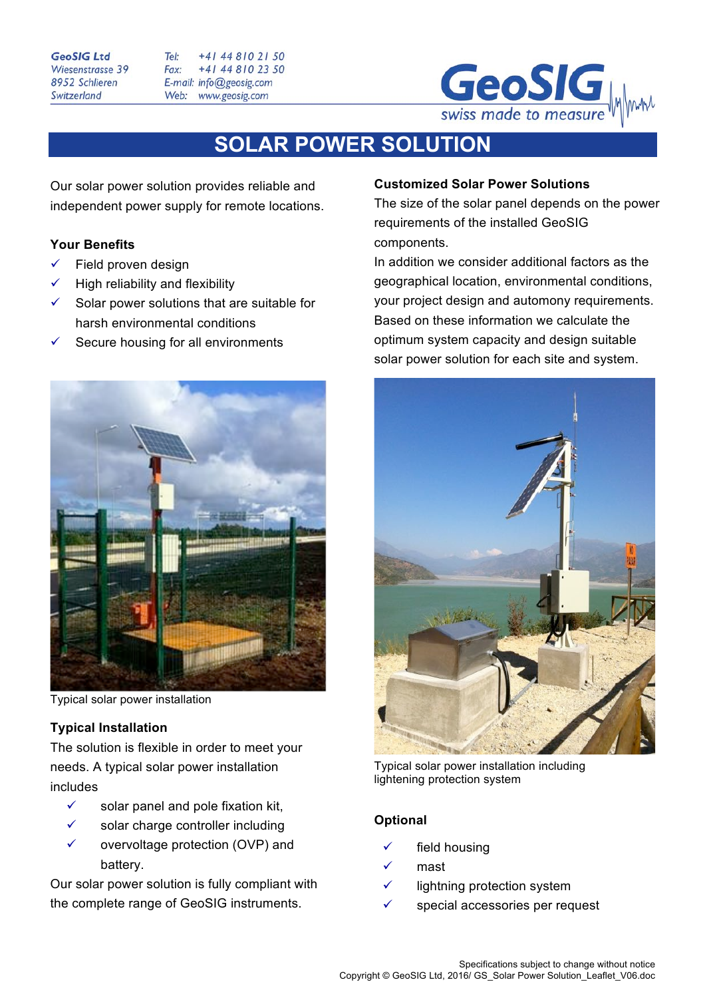#### **GeoSIG Ltd** Wiesenstrasse 39 8952 Schlieren Switzerland

Tel:  $+4148102150$ Fax: +41 44 810 23 50 E-mail: info@geosig.com Web: www.geosig.com



## **SOLAR POWER SOLUTION**

Our solar power solution provides reliable and independent power supply for remote locations.

### **Your Benefits**

- Field proven design
- High reliability and flexibility
- Solar power solutions that are suitable for harsh environmental conditions
- Secure housing for all environments



Typical solar power installation

### **Typical Installation**

The solution is flexible in order to meet your needs. A typical solar power installation includes

- $\checkmark$  solar panel and pole fixation kit,
- $\checkmark$  solar charge controller including
- $\checkmark$  overvoltage protection (OVP) and battery.

Our solar power solution is fully compliant with the complete range of GeoSIG instruments.

### **Customized Solar Power Solutions**

The size of the solar panel depends on the power requirements of the installed GeoSIG components.

In addition we consider additional factors as the geographical location, environmental conditions, your project design and automony requirements. Based on these information we calculate the optimum system capacity and design suitable solar power solution for each site and system.



Typical solar power installation including lightening protection system

### **Optional**

- field housing
- mast
- $\checkmark$  lightning protection system
- special accessories per request